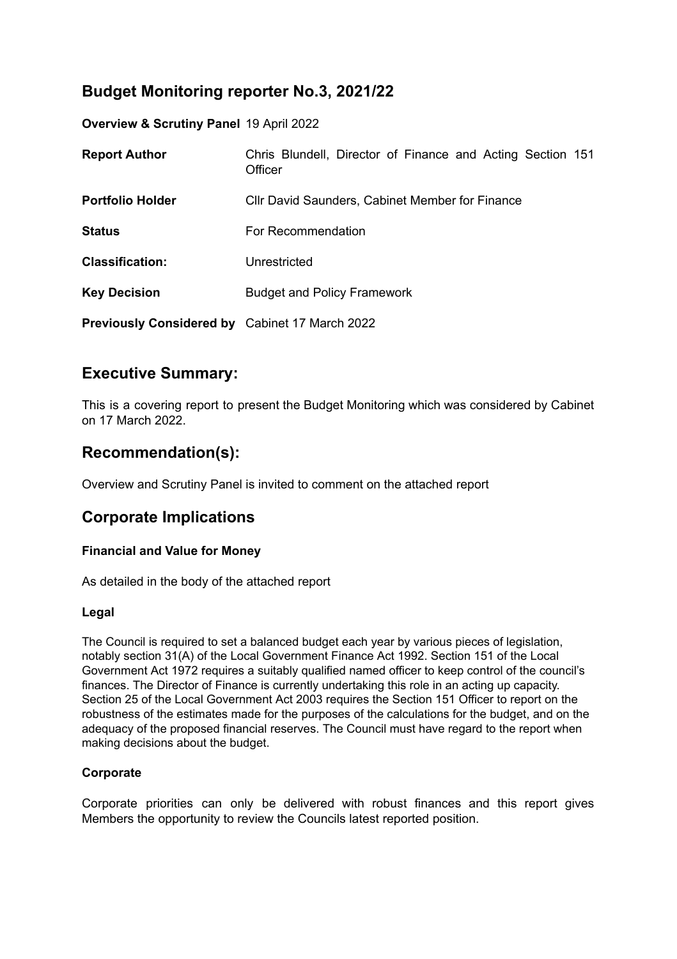# **Budget Monitoring reporter No.3, 2021/22**

**Overview & Scrutiny Panel** 19 April 2022

| <b>Report Author</b>                                  | Chris Blundell, Director of Finance and Acting Section 151<br>Officer |
|-------------------------------------------------------|-----------------------------------------------------------------------|
| <b>Portfolio Holder</b>                               | <b>CIIr David Saunders, Cabinet Member for Finance</b>                |
| <b>Status</b>                                         | For Recommendation                                                    |
| <b>Classification:</b>                                | Unrestricted                                                          |
| <b>Key Decision</b>                                   | <b>Budget and Policy Framework</b>                                    |
| <b>Previously Considered by</b> Cabinet 17 March 2022 |                                                                       |

## **Executive Summary:**

This is a covering report to present the Budget Monitoring which was considered by Cabinet on 17 March 2022.

## **Recommendation(s):**

Overview and Scrutiny Panel is invited to comment on the attached report

### **Corporate Implications**

### **Financial and Value for Money**

As detailed in the body of the attached report

#### **Legal**

The Council is required to set a balanced budget each year by various pieces of legislation, notably section 31(A) of the Local Government Finance Act 1992. Section 151 of the Local Government Act 1972 requires a suitably qualified named officer to keep control of the council's finances. The Director of Finance is currently undertaking this role in an acting up capacity. Section 25 of the Local Government Act 2003 requires the Section 151 Officer to report on the robustness of the estimates made for the purposes of the calculations for the budget, and on the adequacy of the proposed financial reserves. The Council must have regard to the report when making decisions about the budget.

### **Corporate**

Corporate priorities can only be delivered with robust finances and this report gives Members the opportunity to review the Councils latest reported position.